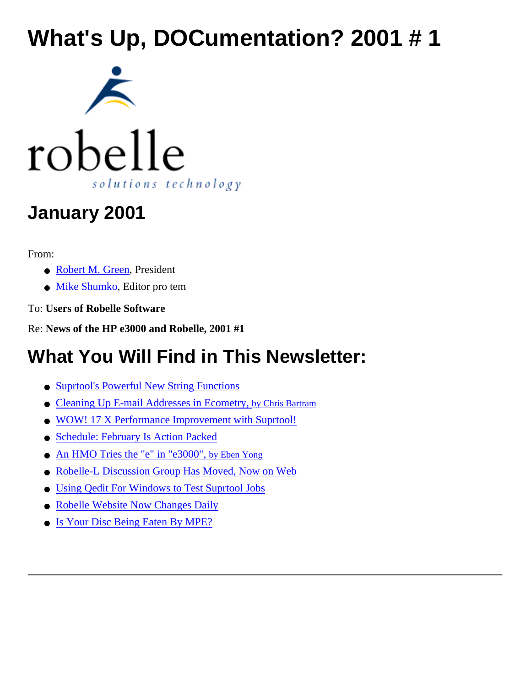# **What's Up, DOCumentation? 2001 # 1**





## **January 2001**

From:

- [Robert M. Green](http://www.robelle.com/~bgreen/), President
- [Mike Shumko,](http://www.robelle.com/~mike/) Editor pro tem

To: **Users of Robelle Software**

Re: **News of the HP e3000 and Robelle, 2001 #1**

## **What You Will Find in This Newsletter:**

- [Suprtool's Powerful New String Functions](#page-1-0)
- [Cleaning Up E-mail Addresses in Ecometry, by Chris Bartram](#page-2-0)
- [WOW! 17 X Performance Improvement with Suprtool!](#page-3-0)
- [Schedule: February Is Action Packed](#page-4-0)
- [An HMO Tries the "e" in "e3000", by Eben Yong](#page-6-0)
- [Robelle-L Discussion Group Has Moved, Now on Web](#page-7-0)
- [Using Qedit For Windows to Test Suprtool Jobs](#page-8-0)
- [Robelle Website Now Changes Daily](#page-10-0)
- [Is Your Disc Being Eaten By MPE?](#page-11-0)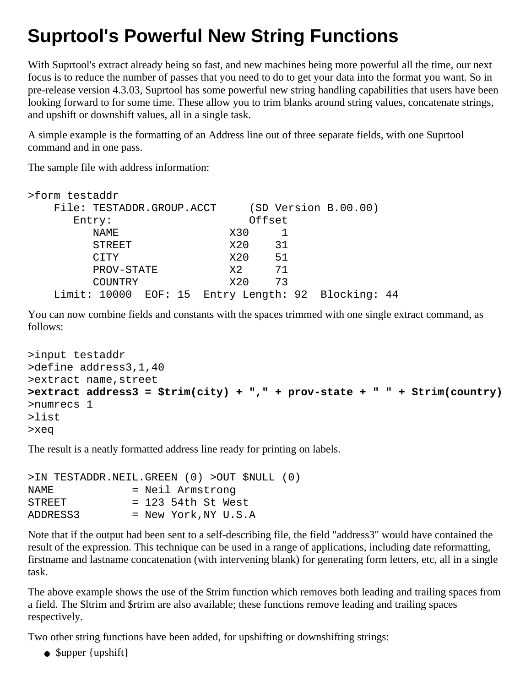### <span id="page-1-0"></span>**Suprtool's Powerful New String Functions**

With Suprtool's extract already being so fast, and new machines being more powerful all the time, our next focus is to reduce the number of passes that you need to do to get your data into the format you want. So in pre-release version 4.3.03, Suprtool has some powerful new string handling capabilities that users have been looking forward to for some time. These allow you to trim blanks around string values, concatenate strings, and upshift or downshift values, all in a single task.

A simple example is the formatting of an Address line out of three separate fields, with one Suprtool command and in one pass.

The sample file with address information:

| >form testaddr            |               |  |  |  |     |                      |                                                    |  |
|---------------------------|---------------|--|--|--|-----|----------------------|----------------------------------------------------|--|
| File: TESTADDR.GROUP.ACCT |               |  |  |  |     | (SD Version B.00.00) |                                                    |  |
| Entry:                    |               |  |  |  |     | Offset               |                                                    |  |
|                           | NAME          |  |  |  | X30 |                      |                                                    |  |
|                           | <b>STREET</b> |  |  |  | X20 | 31                   |                                                    |  |
|                           | <b>CITY</b>   |  |  |  | X20 | 51                   |                                                    |  |
|                           | PROV-STATE    |  |  |  | X2. | 71                   |                                                    |  |
|                           | COUNTRY       |  |  |  | X20 | 73                   |                                                    |  |
|                           |               |  |  |  |     |                      | Limit: 10000 EOF: 15 Entry Length: 92 Blocking: 44 |  |

You can now combine fields and constants with the spaces trimmed with one single extract command, as follows:

```
>input testaddr
>define address3,1,40
>extract name,street
>extract address3 = $trim(city) + "," + prov-state + " " + $trim(country)
>numrecs 1
>list
>xeq
```
The result is a neatly formatted address line ready for printing on labels.

```
>IN TESTADDR.NEIL.GREEN (0) >OUT $NULL (0)
NAME = Neil Armstrong
STREF = 123 54th St West
ADDRESS3 = New York,NY U.S.A
```
Note that if the output had been sent to a self-describing file, the field "address3" would have contained the result of the expression. This technique can be used in a range of applications, including date reformatting, firstname and lastname concatenation (with intervening blank) for generating form letters, etc, all in a single task.

The above example shows the use of the \$trim function which removes both leading and trailing spaces from a field. The \$ltrim and \$rtrim are also available; these functions remove leading and trailing spaces respectively.

Two other string functions have been added, for upshifting or downshifting strings:

• Supper {upshift}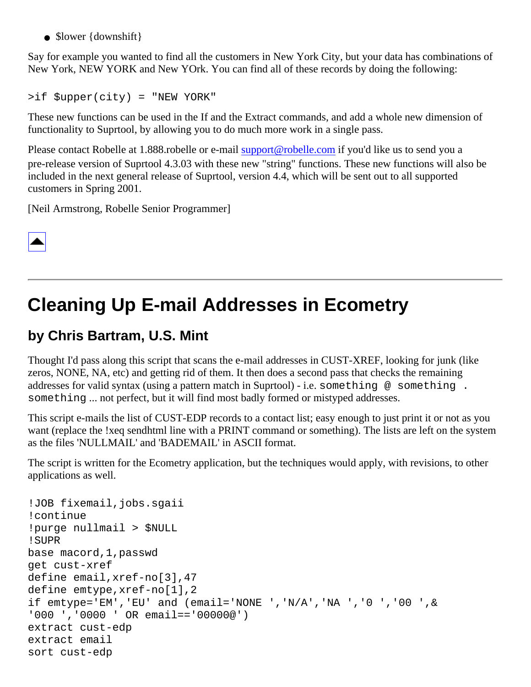• \$lower {downshift}

Say for example you wanted to find all the customers in New York City, but your data has combinations of New York, NEW YORK and New YOrk. You can find all of these records by doing the following:

>if \$upper(city) = "NEW YORK"

These new functions can be used in the If and the Extract commands, and add a whole new dimension of functionality to Suprtool, by allowing you to do much more work in a single pass.

Please contact Robelle at 1.888.robelle or e-mail [support@robelle.com](mailto:support@robelle.com) if you'd like us to send you a pre-release version of Suprtool 4.3.03 with these new "string" functions. These new functions will also be included in the next general release of Suprtool, version 4.4, which will be sent out to all supported customers in Spring 2001.

[Neil Armstrong, Robelle Senior Programmer]

|--|

## <span id="page-2-0"></span>**Cleaning Up E-mail Addresses in Ecometry**

### **by Chris Bartram, U.S. Mint**

Thought I'd pass along this script that scans the e-mail addresses in CUST-XREF, looking for junk (like zeros, NONE, NA, etc) and getting rid of them. It then does a second pass that checks the remaining addresses for valid syntax (using a pattern match in Suprtool) - i.e. something @ something. something ... not perfect, but it will find most badly formed or mistyped addresses.

This script e-mails the list of CUST-EDP records to a contact list; easy enough to just print it or not as you want (replace the !xeq sendhtml line with a PRINT command or something). The lists are left on the system as the files 'NULLMAIL' and 'BADEMAIL' in ASCII format.

The script is written for the Ecometry application, but the techniques would apply, with revisions, to other applications as well.

```
!JOB fixemail,jobs.sgaii
!continue
!purge nullmail > $NULL
!SUPR
base macord,1,passwd
get cust-xref
define email,xref-no[3],47
define emtype,xref-no[1],2
if emtype='EM','EU' and (email='NONE ','N/A','NA ','0 ','00 ',&
'000 ','0000 ' OR email=='00000@')
extract cust-edp
extract email
sort cust-edp
```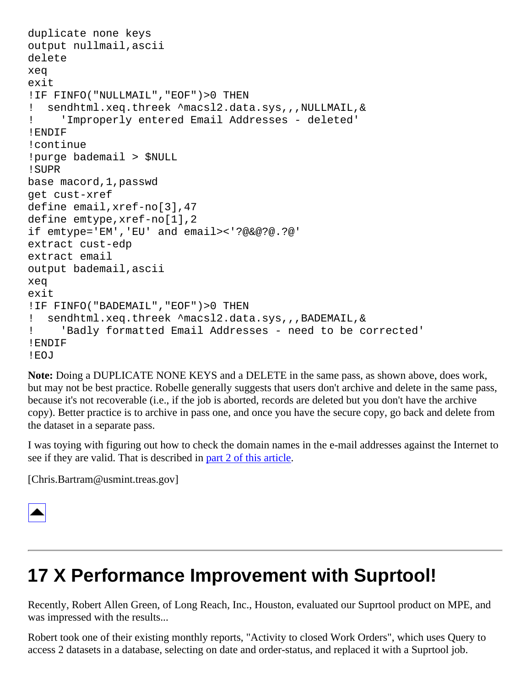```
duplicate none keys
output nullmail,ascii
delete
xeq
exit
!IF FINFO("NULLMAIL","EOF")>0 THEN
! sendhtml.xeq.threek ^macsl2.data.sys,,,NULLMAIL,&
! 'Improperly entered Email Addresses - deleted'
!ENDIF
!continue
!purge bademail > $NULL
!SUPR
base macord,1,passwd
get cust-xref
define email,xref-no[3],47
define emtype,xref-no[1],2
if emtype='EM','EU' and email><'?@&@?@.?@'
extract cust-edp
extract email
output bademail,ascii
xeq
exit
!IF FINFO("BADEMAIL","EOF")>0 THEN
! sendhtml.xeq.threek ^macsl2.data.sys,,,BADEMAIL,&
! 'Badly formatted Email Addresses - need to be corrected'
!ENDIF
!EOJ
```
**Note:** Doing a DUPLICATE NONE KEYS and a DELETE in the same pass, as shown above, does work, but may not be best practice. Robelle generally suggests that users don't archive and delete in the same pass, because it's not recoverable (i.e., if the job is aborted, records are deleted but you don't have the archive copy). Better practice is to archive in pass one, and once you have the secure copy, go back and delete from the dataset in a separate pass.

I was toying with figuring out how to check the domain names in the e-mail addresses against the Internet to see if they are valid. That is described in [part 2 of this article.](http://www.robelle.com/tips/email-whois.html)

[Chris.Bartram@usmint.treas.gov]



### <span id="page-3-0"></span>**17 X Performance Improvement with Suprtool!**

Recently, Robert Allen Green, of Long Reach, Inc., Houston, evaluated our Suprtool product on MPE, and was impressed with the results...

Robert took one of their existing monthly reports, "Activity to closed Work Orders", which uses Query to access 2 datasets in a database, selecting on date and order-status, and replaced it with a Suprtool job.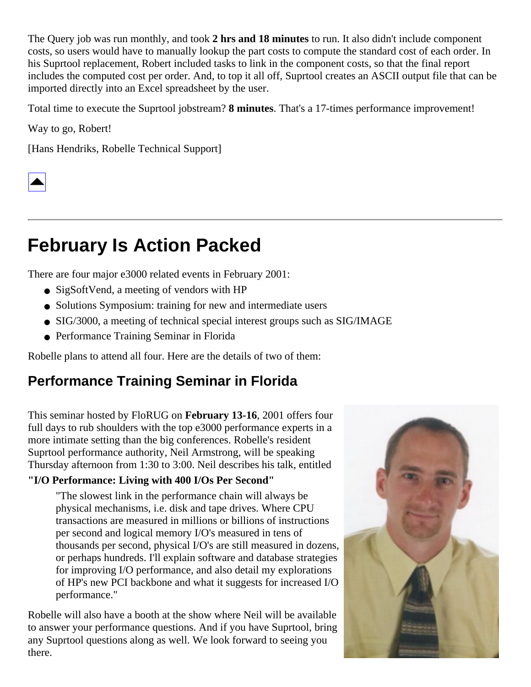The Query job was run monthly, and took **2 hrs and 18 minutes** to run. It also didn't include component costs, so users would have to manually lookup the part costs to compute the standard cost of each order. In his Suprtool replacement, Robert included tasks to link in the component costs, so that the final report includes the computed cost per order. And, to top it all off, Suprtool creates an ASCII output file that can be imported directly into an Excel spreadsheet by the user.

Total time to execute the Suprtool jobstream? **8 minutes**. That's a 17-times performance improvement!

Way to go, Robert!

[Hans Hendriks, Robelle Technical Support]



### <span id="page-4-0"></span>**February Is Action Packed**

There are four major e3000 related events in February 2001:

- SigSoftVend, a meeting of vendors with HP
- Solutions Symposium: training for new and intermediate users
- SIG/3000, a meeting of technical special interest groups such as SIG/IMAGE
- Performance Training Seminar in Florida

Robelle plans to attend all four. Here are the details of two of them:

### **Performance Training Seminar in Florida**

This seminar hosted by FloRUG on **February 13-16**, 2001 offers four full days to rub shoulders with the top e3000 performance experts in a more intimate setting than the big conferences. Robelle's resident Suprtool performance authority, Neil Armstrong, will be speaking Thursday afternoon from 1:30 to 3:00. Neil describes his talk, entitled

#### **"I/O Performance: Living with 400 I/Os Per Second"**

"The slowest link in the performance chain will always be physical mechanisms, i.e. disk and tape drives. Where CPU transactions are measured in millions or billions of instructions per second and logical memory I/O's measured in tens of thousands per second, physical I/O's are still measured in dozens, or perhaps hundreds. I'll explain software and database strategies for improving I/O performance, and also detail my explorations of HP's new PCI backbone and what it suggests for increased I/O performance."

Robelle will also have a booth at the show where Neil will be available to answer your performance questions. And if you have Suprtool, bring any Suprtool questions along as well. We look forward to seeing you there.

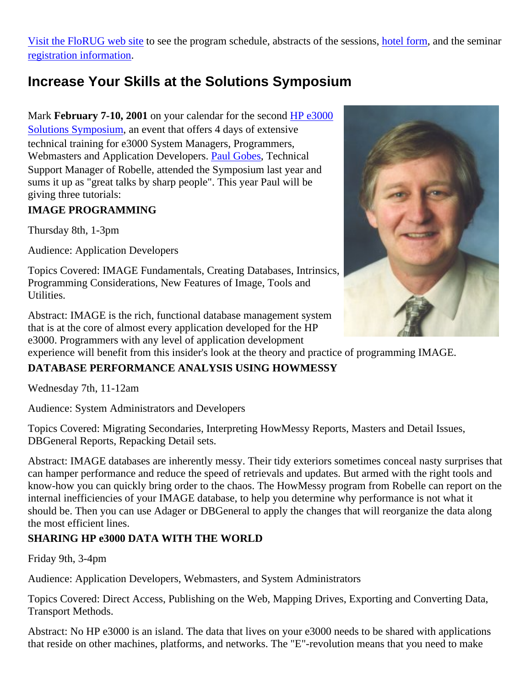[Visit the FloRUG web site](http://www.florug.net/NEWSLETTERS/5thperf/5thperf.html) to see the program schedule, abstracts of the sessions, [hotel form](http://www.florug.net/NEWSLETTERS/5thperf/5thperf-p6/5thperf-p6.html), and the seminar [registration information](http://www.florug.net/NEWSLETTERS/5thperf/5thperf-p7/5thperf-p7.html).

### **Increase Your Skills at the Solutions Symposium**

Mark **February 7-10, 2001** on your calendar for the second [HP e3000](http://www.interex.org/conference/hpe3000solutions2001/index.html)

[Solutions Symposium](http://www.interex.org/conference/hpe3000solutions2001/index.html), an event that offers 4 days of extensive technical training for e3000 System Managers, Programmers, Webmasters and Application Developers. [Paul Gobes,](http://www.robelle.com/robelle.html#support) Technical Support Manager of Robelle, attended the Symposium last year and sums it up as "great talks by sharp people". This year Paul will be giving three tutorials:

#### **IMAGE PROGRAMMING**

Thursday 8th, 1-3pm

Audience: Application Developers

Topics Covered: IMAGE Fundamentals, Creating Databases, Intrinsics, Programming Considerations, New Features of Image, Tools and Utilities.

Abstract: IMAGE is the rich, functional database management system that is at the core of almost every application developed for the HP e3000. Programmers with any level of application development

experience will benefit from this insider's look at the theory and practice of programming IMAGE.

#### **DATABASE PERFORMANCE ANALYSIS USING HOWMESSY**

Wednesday 7th, 11-12am

Audience: System Administrators and Developers

Topics Covered: Migrating Secondaries, Interpreting HowMessy Reports, Masters and Detail Issues, DBGeneral Reports, Repacking Detail sets.

Abstract: IMAGE databases are inherently messy. Their tidy exteriors sometimes conceal nasty surprises that can hamper performance and reduce the speed of retrievals and updates. But armed with the right tools and know-how you can quickly bring order to the chaos. The HowMessy program from Robelle can report on the internal inefficiencies of your IMAGE database, to help you determine why performance is not what it should be. Then you can use Adager or DBGeneral to apply the changes that will reorganize the data along the most efficient lines.

#### **SHARING HP e3000 DATA WITH THE WORLD**

Friday 9th, 3-4pm

Audience: Application Developers, Webmasters, and System Administrators

Topics Covered: Direct Access, Publishing on the Web, Mapping Drives, Exporting and Converting Data, Transport Methods.

Abstract: No HP e3000 is an island. The data that lives on your e3000 needs to be shared with applications that reside on other machines, platforms, and networks. The "E"-revolution means that you need to make

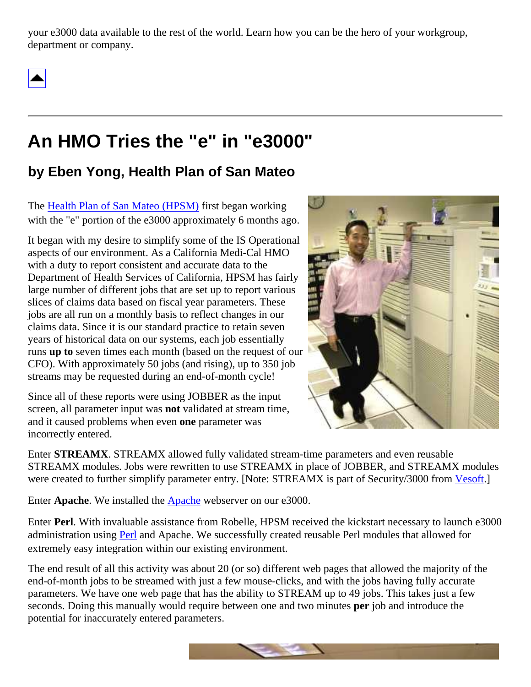your e3000 data available to the rest of the world. Learn how you can be the hero of your workgroup, department or company.



### <span id="page-6-0"></span>**An HMO Tries the "e" in "e3000"**

### **by Eben Yong, Health Plan of San Mateo**

The [Health Plan of San Mateo \(HPSM\)](http://www.hpsm.org/) first began working with the "e" portion of the e3000 approximately 6 months ago.

It began with my desire to simplify some of the IS Operational aspects of our environment. As a California Medi-Cal HMO with a duty to report consistent and accurate data to the Department of Health Services of California, HPSM has fairly large number of different jobs that are set up to report various slices of claims data based on fiscal year parameters. These jobs are all run on a monthly basis to reflect changes in our claims data. Since it is our standard practice to retain seven years of historical data on our systems, each job essentially runs **up to** seven times each month (based on the request of our CFO). With approximately 50 jobs (and rising), up to 350 job streams may be requested during an end-of-month cycle!

Since all of these reports were using JOBBER as the input screen, all parameter input was **not** validated at stream time, and it caused problems when even **one** parameter was incorrectly entered.



Enter **STREAMX**. STREAMX allowed fully validated stream-time parameters and even reusable STREAMX modules. Jobs were rewritten to use STREAMX in place of JOBBER, and STREAMX modules were created to further simplify parameter entry. [Note: STREAMX is part of Security/3000 from [Vesoft](http://www.3kworld.com/memberhome.asp?sit_PK=445).]

Enter **Apache**. We installed the [Apache](http://jazz.external.hp.com/src/apache/index.html) webserver on our e3000.

Enter **Perl**. With invaluable assistance from Robelle, HPSM received the kickstart necessary to launch e3000 administration using [Perl](http://www.bixby.org/mark/perlix.html) and Apache. We successfully created reusable Perl modules that allowed for extremely easy integration within our existing environment.

The end result of all this activity was about 20 (or so) different web pages that allowed the majority of the end-of-month jobs to be streamed with just a few mouse-clicks, and with the jobs having fully accurate parameters. We have one web page that has the ability to STREAM up to 49 jobs. This takes just a few seconds. Doing this manually would require between one and two minutes **per** job and introduce the potential for inaccurately entered parameters.

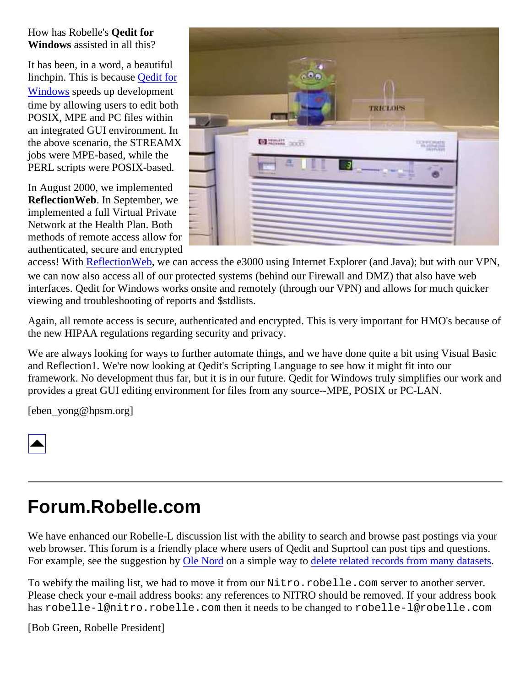How has Robelle's **Qedit for Windows** assisted in all this?

It has been, in a word, a beautiful linchpin. This is because [Qedit for](http://www.robelle.com/products/qwin/) [Windows](http://www.robelle.com/products/qwin/) speeds up development time by allowing users to edit both POSIX, MPE and PC files within an integrated GUI environment. In the above scenario, the STREAMX jobs were MPE-based, while the PERL scripts were POSIX-based.

In August 2000, we implemented **ReflectionWeb**. In September, we implemented a full Virtual Private Network at the Health Plan. Both methods of remote access allow for authenticated, secure and encrypted



access! With [ReflectionWeb](http://www.wrq.com/products/reflection/fortheweb/), we can access the e3000 using Internet Explorer (and Java); but with our VPN, we can now also access all of our protected systems (behind our Firewall and DMZ) that also have web interfaces. Qedit for Windows works onsite and remotely (through our VPN) and allows for much quicker viewing and troubleshooting of reports and \$stdlists.

Again, all remote access is secure, authenticated and encrypted. This is very important for HMO's because of the new HIPAA regulations regarding security and privacy.

We are always looking for ways to further automate things, and we have done quite a bit using Visual Basic and Reflection1. We're now looking at Qedit's Scripting Language to see how it might fit into our framework. No development thus far, but it is in our future. Qedit for Windows truly simplifies our work and provides a great GUI editing environment for files from any source--MPE, POSIX or PC-LAN.

[eben\_yong@hpsm.org]



### <span id="page-7-0"></span>**Forum.Robelle.com**

We have enhanced our Robelle-L discussion list with the ability to search and browse past postings via your web browser. This forum is a friendly place where users of Qedit and Suprtool can post tips and questions. For example, see the suggestion by [Ole Nord](http://www.olenordab.se/) on a simple way to [delete related records from many datasets.](http://forum.robelle.com/scripts/wa.exe?A2=ind0012&L=ROBELLE-L&P=R276)

To webify the mailing list, we had to move it from our Nitro.robelle.com server to another server. Please check your e-mail address books: any references to NITRO should be removed. If your address book has robelle-l@nitro.robelle.com then it needs to be changed to robelle-l@robelle.com

[Bob Green, Robelle President]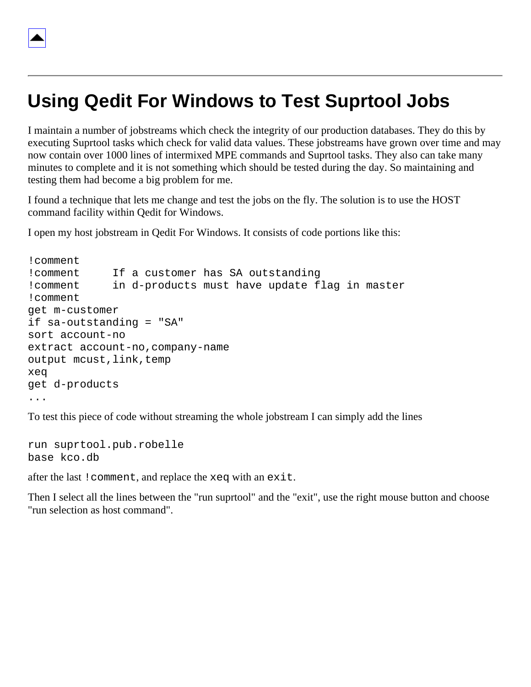### <span id="page-8-0"></span>**Using Qedit For Windows to Test Suprtool Jobs**

I maintain a number of jobstreams which check the integrity of our production databases. They do this by executing Suprtool tasks which check for valid data values. These jobstreams have grown over time and may now contain over 1000 lines of intermixed MPE commands and Suprtool tasks. They also can take many minutes to complete and it is not something which should be tested during the day. So maintaining and testing them had become a big problem for me.

I found a technique that lets me change and test the jobs on the fly. The solution is to use the HOST command facility within Qedit for Windows.

I open my host jobstream in Qedit For Windows. It consists of code portions like this:

```
!comment
!comment If a customer has SA outstanding
!comment in d-products must have update flag in master
!comment
get m-customer
if sa-outstanding = "SA"
sort account-no
extract account-no,company-name
output mcust,link,temp
xeq
get d-products
...
```
To test this piece of code without streaming the whole jobstream I can simply add the lines

```
run suprtool.pub.robelle
base kco.db
```
after the last !comment, and replace the xeq with an exit.

Then I select all the lines between the "run suprtool" and the "exit", use the right mouse button and choose "run selection as host command".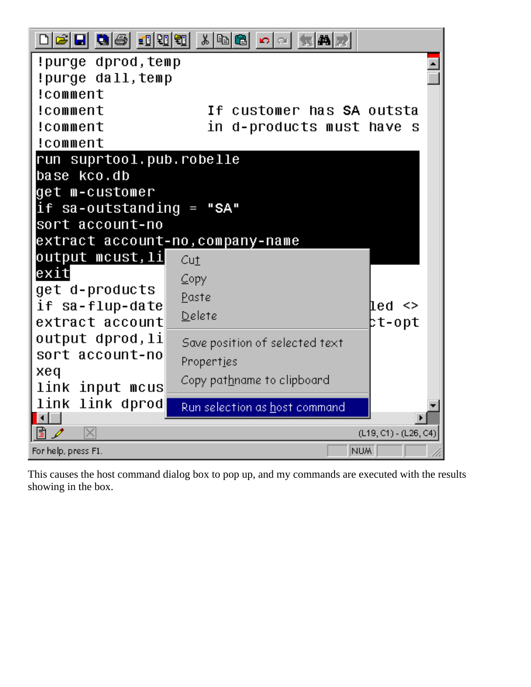| 기여대 대송 10000                    | 세례  6  0  2 <br>氣帶房              |                         |  |  |  |
|---------------------------------|----------------------------------|-------------------------|--|--|--|
| !purge dprod,temp               |                                  |                         |  |  |  |
| !purge dall,temp                |                                  |                         |  |  |  |
| !comment                        |                                  |                         |  |  |  |
| !comment                        | If customer has <b>SA</b> outsta |                         |  |  |  |
| !comment                        | in d-products must have          | - S                     |  |  |  |
| !comment                        |                                  |                         |  |  |  |
| run suprtool.pub.robelle        |                                  |                         |  |  |  |
| base kco.db                     |                                  |                         |  |  |  |
| get m-customer                  |                                  |                         |  |  |  |
| if $sa$ -outstanding = "SA"     |                                  |                         |  |  |  |
| sort account-no                 |                                  |                         |  |  |  |
| extract account-no,company-name |                                  |                         |  |  |  |
| output mcust,li<br>exit         | Cu <sub>1</sub>                  |                         |  |  |  |
| get d-products                  | $\subseteq$ opy                  |                         |  |  |  |
| if sa-flup-date                 | Paste                            | led <>                  |  |  |  |
| extract account                 | Delete                           | bt-opt                  |  |  |  |
| output dprod,li                 |                                  |                         |  |  |  |
| sort account-no                 | Save position of selected text   |                         |  |  |  |
| xeq                             | Properties                       |                         |  |  |  |
| link input mcus                 | Copy pathname to clipboard       |                         |  |  |  |
| link link dprod                 | Run selection as host command    |                         |  |  |  |
| ⊓                               |                                  |                         |  |  |  |
| $\times$                        |                                  | $(L19, C1) - (L26, C4)$ |  |  |  |
| For help, press F1.             | NUM                              |                         |  |  |  |

This causes the host command dialog box to pop up, and my commands are executed with the results showing in the box.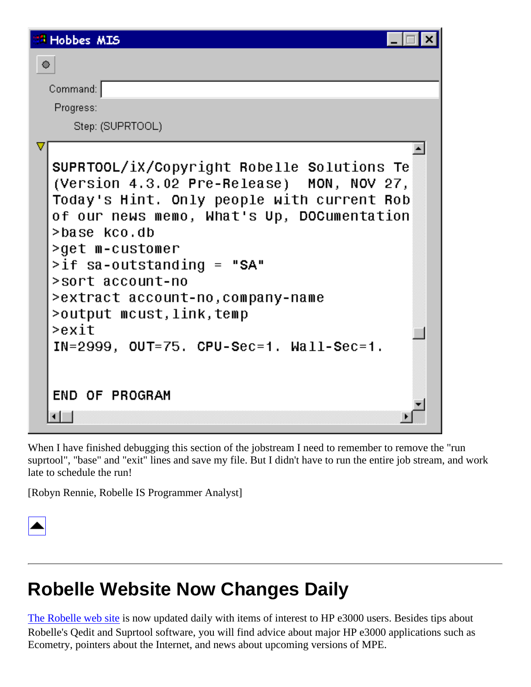| <b>Hobbes MIS</b>                                                                                                                                                                                                                                                                                                                                                                                                        |
|--------------------------------------------------------------------------------------------------------------------------------------------------------------------------------------------------------------------------------------------------------------------------------------------------------------------------------------------------------------------------------------------------------------------------|
| $\bullet$                                                                                                                                                                                                                                                                                                                                                                                                                |
| Command:                                                                                                                                                                                                                                                                                                                                                                                                                 |
| Progress:                                                                                                                                                                                                                                                                                                                                                                                                                |
| Step: (SUPRTOOL)                                                                                                                                                                                                                                                                                                                                                                                                         |
| SUPRTOOL/iX/Copyright Robelle Solutions Te<br>(Version 4.3.02 Pre-Release) MON, NOV 27,<br>Today's Hint. Only people with current Rob<br>of our news memo, What's Up, DOCumentation<br>>base kco.db<br>>get m-customer<br>>if sa-outstanding = "SA"<br>>sort account-no<br>>extract account-no,company-name<br>>output mcust,link,temp<br>>exit<br>$IN=2999$ , $OUT=75$ . $CPU-Sec=1$ . $Wall-Sec=1$ .<br>END OF PROGRAM |
|                                                                                                                                                                                                                                                                                                                                                                                                                          |

When I have finished debugging this section of the jobstream I need to remember to remove the "run suprtool", "base" and "exit" lines and save my file. But I didn't have to run the entire job stream, and work late to schedule the run!

[Robyn Rennie, Robelle IS Programmer Analyst]



### <span id="page-10-0"></span>**Robelle Website Now Changes Daily**

[The Robelle web site](http://www.robelle.com/) is now updated daily with items of interest to HP e3000 users. Besides tips about Robelle's Qedit and Suprtool software, you will find advice about major HP e3000 applications such as Ecometry, pointers about the Internet, and news about upcoming versions of MPE.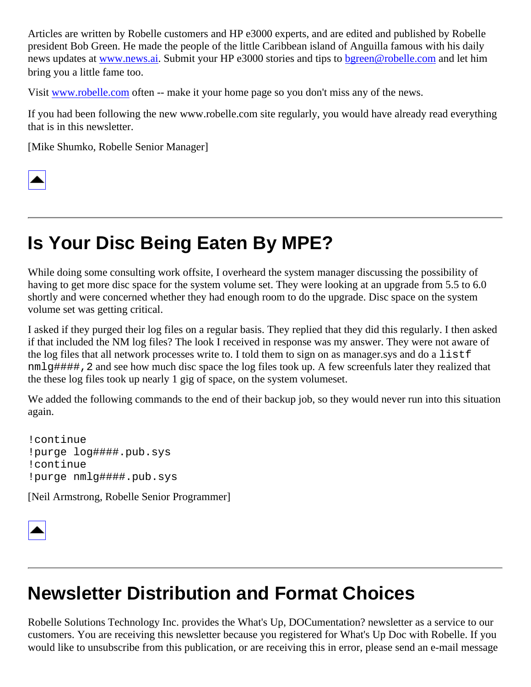Articles are written by Robelle customers and HP e3000 experts, and are edited and published by Robelle president Bob Green. He made the people of the little Caribbean island of Anguilla famous with his daily news updates at [www.news.ai.](http://www.news.ai/) Submit your HP e3000 stories and tips to [bgreen@robelle.com](mailto:bgreen@robelle.com) and let him bring you a little fame too.

Visit [www.robelle.com](http://www.robelle.com/) often -- make it your home page so you don't miss any of the news.

If you had been following the new www.robelle.com site regularly, you would have already read everything that is in this newsletter.

[Mike Shumko, Robelle Senior Manager]



## <span id="page-11-0"></span>**Is Your Disc Being Eaten By MPE?**

While doing some consulting work offsite, I overheard the system manager discussing the possibility of having to get more disc space for the system volume set. They were looking at an upgrade from 5.5 to 6.0 shortly and were concerned whether they had enough room to do the upgrade. Disc space on the system volume set was getting critical.

I asked if they purged their log files on a regular basis. They replied that they did this regularly. I then asked if that included the NM log files? The look I received in response was my answer. They were not aware of the log files that all network processes write to. I told them to sign on as manager.sys and do a listf nmlg####,2 and see how much disc space the log files took up. A few screenfuls later they realized that the these log files took up nearly 1 gig of space, on the system volumeset.

We added the following commands to the end of their backup job, so they would never run into this situation again.

!continue !purge log####.pub.sys !continue !purge nmlg####.pub.sys

[Neil Armstrong, Robelle Senior Programmer]



### **Newsletter Distribution and Format Choices**

Robelle Solutions Technology Inc. provides the What's Up, DOCumentation? newsletter as a service to our customers. You are receiving this newsletter because you registered for What's Up Doc with Robelle. If you would like to unsubscribe from this publication, or are receiving this in error, please send an e-mail message